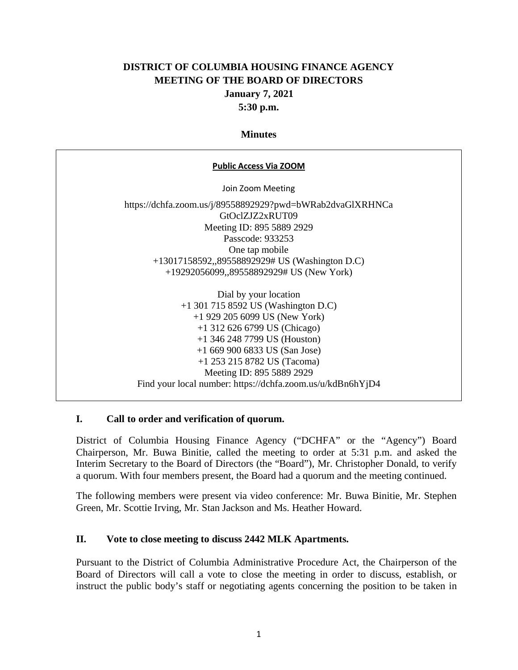# **DISTRICT OF COLUMBIA HOUSING FINANCE AGENCY MEETING OF THE BOARD OF DIRECTORS January 7, 2021 5:30 p.m.**

### **Minutes**

| <b>Public Access Via ZOOM</b>                              |
|------------------------------------------------------------|
| Join Zoom Meeting                                          |
| https://dchfa.zoom.us/j/89558892929?pwd=bWRab2dvaGlXRHNCa  |
| GtOclZJZ2xRUT09                                            |
| Meeting ID: 895 5889 2929                                  |
| Passcode: 933253                                           |
| One tap mobile                                             |
| +13017158592,,89558892929# US (Washington D.C)             |
| +19292056099,,89558892929# US (New York)                   |
| Dial by your location                                      |
| $+1$ 301 715 8592 US (Washington D.C)                      |
| $+1$ 929 205 6099 US (New York)                            |
| $+1$ 312 626 6799 US (Chicago)                             |
| $+1$ 346 248 7799 US (Houston)                             |
| $+16699006833$ US (San Jose)                               |
| $+1$ 253 215 8782 US (Tacoma)                              |
| Meeting ID: 895 5889 2929                                  |
| Find your local number: https://dchfa.zoom.us/u/kdBn6hYjD4 |

## **I. Call to order and verification of quorum.**

District of Columbia Housing Finance Agency ("DCHFA" or the "Agency") Board Chairperson, Mr. Buwa Binitie, called the meeting to order at 5:31 p.m. and asked the Interim Secretary to the Board of Directors (the "Board"), Mr. Christopher Donald, to verify a quorum. With four members present, the Board had a quorum and the meeting continued.

The following members were present via video conference: Mr. Buwa Binitie, Mr. Stephen Green, Mr. Scottie Irving, Mr. Stan Jackson and Ms. Heather Howard.

### **II. Vote to close meeting to discuss 2442 MLK Apartments.**

Pursuant to the District of Columbia Administrative Procedure Act, the Chairperson of the Board of Directors will call a vote to close the meeting in order to discuss, establish, or instruct the public body's staff or negotiating agents concerning the position to be taken in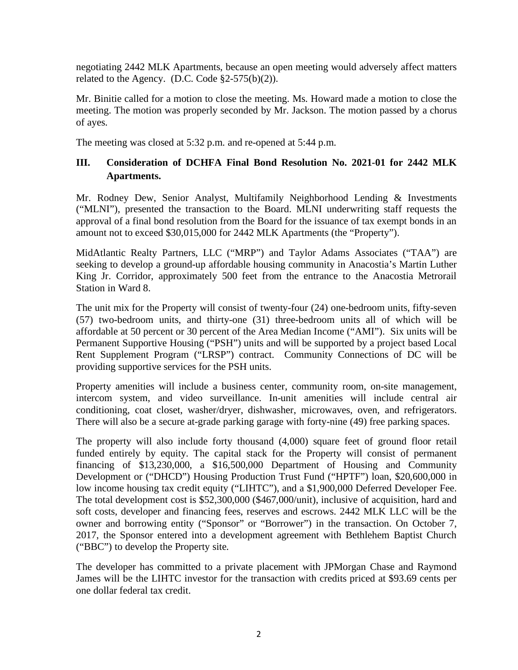negotiating 2442 MLK Apartments, because an open meeting would adversely affect matters related to the Agency. (D.C. Code  $\S2-575(b)(2)$ ).

Mr. Binitie called for a motion to close the meeting. Ms. Howard made a motion to close the meeting. The motion was properly seconded by Mr. Jackson. The motion passed by a chorus of ayes.

The meeting was closed at 5:32 p.m. and re-opened at 5:44 p.m.

# **III. Consideration of DCHFA Final Bond Resolution No. 2021-01 for 2442 MLK Apartments.**

Mr. Rodney Dew, Senior Analyst, Multifamily Neighborhood Lending & Investments ("MLNI"), presented the transaction to the Board. MLNI underwriting staff requests the approval of a final bond resolution from the Board for the issuance of tax exempt bonds in an amount not to exceed \$30,015,000 for 2442 MLK Apartments (the "Property").

MidAtlantic Realty Partners, LLC ("MRP") and Taylor Adams Associates ("TAA") are seeking to develop a ground-up affordable housing community in Anacostia's Martin Luther King Jr. Corridor, approximately 500 feet from the entrance to the Anacostia Metrorail Station in Ward 8.

The unit mix for the Property will consist of twenty-four (24) one-bedroom units, fifty-seven (57) two-bedroom units, and thirty-one (31) three-bedroom units all of which will be affordable at 50 percent or 30 percent of the Area Median Income ("AMI"). Six units will be Permanent Supportive Housing ("PSH") units and will be supported by a project based Local Rent Supplement Program ("LRSP") contract. Community Connections of DC will be providing supportive services for the PSH units.

Property amenities will include a business center, community room, on-site management, intercom system, and video surveillance. In-unit amenities will include central air conditioning, coat closet, washer/dryer, dishwasher, microwaves, oven, and refrigerators. There will also be a secure at-grade parking garage with forty-nine (49) free parking spaces.

The property will also include forty thousand (4,000) square feet of ground floor retail funded entirely by equity. The capital stack for the Property will consist of permanent financing of \$13,230,000, a \$16,500,000 Department of Housing and Community Development or ("DHCD") Housing Production Trust Fund ("HPTF") loan, \$20,600,000 in low income housing tax credit equity ("LIHTC"), and a \$1,900,000 Deferred Developer Fee. The total development cost is \$52,300,000 (\$467,000/unit), inclusive of acquisition, hard and soft costs, developer and financing fees, reserves and escrows. 2442 MLK LLC will be the owner and borrowing entity ("Sponsor" or "Borrower") in the transaction. On October 7, 2017, the Sponsor entered into a development agreement with Bethlehem Baptist Church ("BBC") to develop the Property site.

The developer has committed to a private placement with JPMorgan Chase and Raymond James will be the LIHTC investor for the transaction with credits priced at \$93.69 cents per one dollar federal tax credit.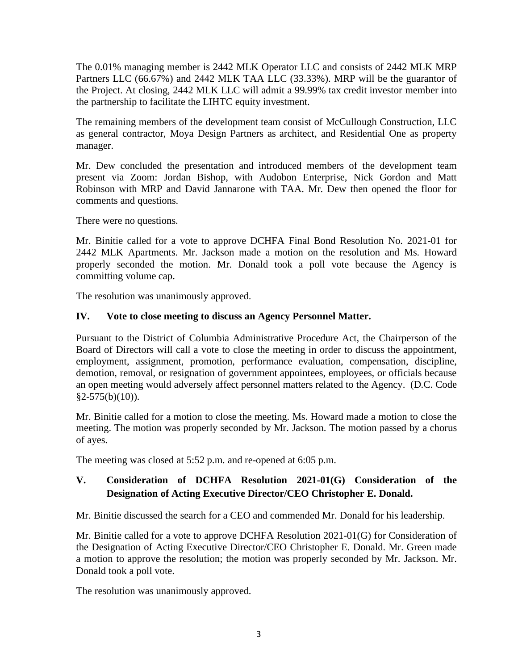The 0.01% managing member is 2442 MLK Operator LLC and consists of 2442 MLK MRP Partners LLC (66.67%) and 2442 MLK TAA LLC (33.33%). MRP will be the guarantor of the Project. At closing, 2442 MLK LLC will admit a 99.99% tax credit investor member into the partnership to facilitate the LIHTC equity investment.

The remaining members of the development team consist of McCullough Construction, LLC as general contractor, Moya Design Partners as architect, and Residential One as property manager.

Mr. Dew concluded the presentation and introduced members of the development team present via Zoom: Jordan Bishop, with Audobon Enterprise, Nick Gordon and Matt Robinson with MRP and David Jannarone with TAA. Mr. Dew then opened the floor for comments and questions.

There were no questions.

Mr. Binitie called for a vote to approve DCHFA Final Bond Resolution No. 2021-01 for 2442 MLK Apartments. Mr. Jackson made a motion on the resolution and Ms. Howard properly seconded the motion. Mr. Donald took a poll vote because the Agency is committing volume cap.

The resolution was unanimously approved.

# **IV. Vote to close meeting to discuss an Agency Personnel Matter.**

Pursuant to the District of Columbia Administrative Procedure Act, the Chairperson of the Board of Directors will call a vote to close the meeting in order to discuss the appointment, employment, assignment, promotion, performance evaluation, compensation, discipline, demotion, removal, or resignation of government appointees, employees, or officials because an open meeting would adversely affect personnel matters related to the Agency. (D.C. Code  $§2-575(b)(10)$ ).

Mr. Binitie called for a motion to close the meeting. Ms. Howard made a motion to close the meeting. The motion was properly seconded by Mr. Jackson. The motion passed by a chorus of ayes.

The meeting was closed at 5:52 p.m. and re-opened at 6:05 p.m.

# **V. Consideration of DCHFA Resolution 2021-01(G) Consideration of the Designation of Acting Executive Director/CEO Christopher E. Donald.**

Mr. Binitie discussed the search for a CEO and commended Mr. Donald for his leadership.

Mr. Binitie called for a vote to approve DCHFA Resolution 2021-01(G) for Consideration of the Designation of Acting Executive Director/CEO Christopher E. Donald. Mr. Green made a motion to approve the resolution; the motion was properly seconded by Mr. Jackson. Mr. Donald took a poll vote.

The resolution was unanimously approved.